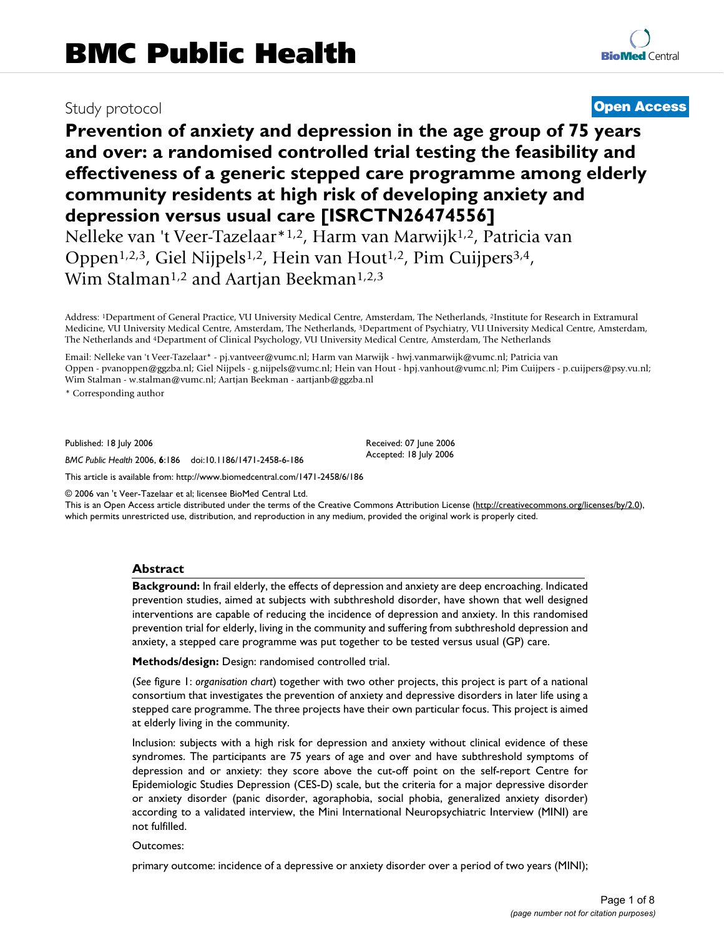# Study protocol **[Open Access](http://www.biomedcentral.com/info/about/charter/)**

# **Prevention of anxiety and depression in the age group of 75 years and over: a randomised controlled trial testing the feasibility and effectiveness of a generic stepped care programme among elderly community residents at high risk of developing anxiety and depression versus usual care [ISRCTN26474556]**

Nelleke van 't Veer-Tazelaar\*1,2, Harm van Marwijk1,2, Patricia van Oppen1,2,3, Giel Nijpels1,2, Hein van Hout1,2, Pim Cuijpers3,4, Wim Stalman<sup>1,2</sup> and Aartjan Beekman<sup>1,2,3</sup>

Address: 1Department of General Practice, VU University Medical Centre, Amsterdam, The Netherlands, 2Institute for Research in Extramural Medicine, VU University Medical Centre, Amsterdam, The Netherlands, 3Department of Psychiatry, VU University Medical Centre, Amsterdam, The Netherlands and 4Department of Clinical Psychology, VU University Medical Centre, Amsterdam, The Netherlands

Email: Nelleke van 't Veer-Tazelaar\* - pj.vantveer@vumc.nl; Harm van Marwijk - hwj.vanmarwijk@vumc.nl; Patricia van Oppen - pvanoppen@ggzba.nl; Giel Nijpels - g.nijpels@vumc.nl; Hein van Hout - hpj.vanhout@vumc.nl; Pim Cuijpers - p.cuijpers@psy.vu.nl; Wim Stalman - w.stalman@vumc.nl; Aartjan Beekman - aartjanb@ggzba.nl

> Received: 07 June 2006 Accepted: 18 July 2006

\* Corresponding author

Published: 18 July 2006

*BMC Public Health* 2006, **6**:186 doi:10.1186/1471-2458-6-186

[This article is available from: http://www.biomedcentral.com/1471-2458/6/186](http://www.biomedcentral.com/1471-2458/6/186)

© 2006 van 't Veer-Tazelaar et al; licensee BioMed Central Ltd.

This is an Open Access article distributed under the terms of the Creative Commons Attribution License [\(http://creativecommons.org/licenses/by/2.0\)](http://creativecommons.org/licenses/by/2.0), which permits unrestricted use, distribution, and reproduction in any medium, provided the original work is properly cited.

#### **Abstract**

**Background:** In frail elderly, the effects of depression and anxiety are deep encroaching. Indicated prevention studies, aimed at subjects with subthreshold disorder, have shown that well designed interventions are capable of reducing the incidence of depression and anxiety. In this randomised prevention trial for elderly, living in the community and suffering from subthreshold depression and anxiety, a stepped care programme was put together to be tested versus usual (GP) care.

**Methods/design:** Design: randomised controlled trial.

(*See* figure 1: *organisation chart*) together with two other projects, this project is part of a national consortium that investigates the prevention of anxiety and depressive disorders in later life using a stepped care programme. The three projects have their own particular focus. This project is aimed at elderly living in the community.

Inclusion: subjects with a high risk for depression and anxiety without clinical evidence of these syndromes. The participants are 75 years of age and over and have subthreshold symptoms of depression and or anxiety: they score above the cut-off point on the self-report Centre for Epidemiologic Studies Depression (CES-D) scale, but the criteria for a major depressive disorder or anxiety disorder (panic disorder, agoraphobia, social phobia, generalized anxiety disorder) according to a validated interview, the Mini International Neuropsychiatric Interview (MINI) are not fulfilled.

#### Outcomes:

primary outcome: incidence of a depressive or anxiety disorder over a period of two years (MINI);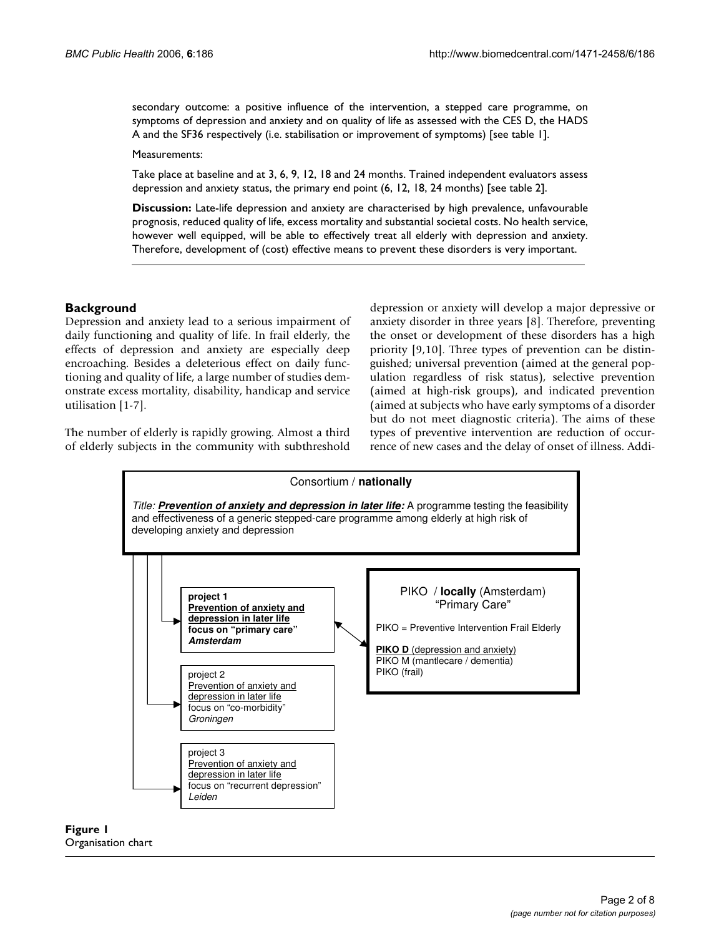secondary outcome: a positive influence of the intervention, a stepped care programme, on symptoms of depression and anxiety and on quality of life as assessed with the CES D, the HADS A and the SF36 respectively (i.e. stabilisation or improvement of symptoms) [see table 1].

Measurements:

Take place at baseline and at 3, 6, 9, 12, 18 and 24 months. Trained independent evaluators assess depression and anxiety status, the primary end point (6, 12, 18, 24 months) [see table 2].

**Discussion:** Late-life depression and anxiety are characterised by high prevalence, unfavourable prognosis, reduced quality of life, excess mortality and substantial societal costs. No health service, however well equipped, will be able to effectively treat all elderly with depression and anxiety. Therefore, development of (cost) effective means to prevent these disorders is very important.

# **Background**

Depression and anxiety lead to a serious impairment of daily functioning and quality of life. In frail elderly, the effects of depression and anxiety are especially deep encroaching. Besides a deleterious effect on daily functioning and quality of life, a large number of studies demonstrate excess mortality, disability, handicap and service utilisation [1-7].

The number of elderly is rapidly growing. Almost a third of elderly subjects in the community with subthreshold depression or anxiety will develop a major depressive or anxiety disorder in three years [8]. Therefore, preventing the onset or development of these disorders has a high priority [9,10]. Three types of prevention can be distinguished; universal prevention (aimed at the general population regardless of risk status), selective prevention (aimed at high-risk groups), and indicated prevention (aimed at subjects who have early symptoms of a disorder but do not meet diagnostic criteria). The aims of these types of preventive intervention are reduction of occurrence of new cases and the delay of onset of illness. Addi-



# **Figure 1** Organisation chart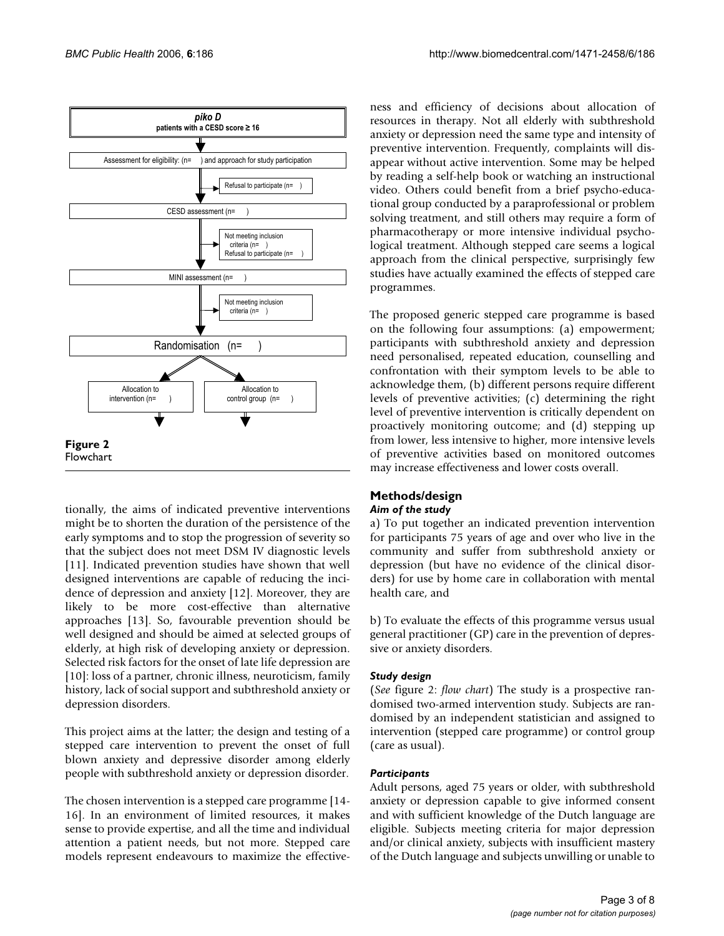

tionally, the aims of indicated preventive interventions might be to shorten the duration of the persistence of the early symptoms and to stop the progression of severity so that the subject does not meet DSM IV diagnostic levels [11]. Indicated prevention studies have shown that well designed interventions are capable of reducing the incidence of depression and anxiety [12]. Moreover, they are likely to be more cost-effective than alternative approaches [13]. So, favourable prevention should be well designed and should be aimed at selected groups of elderly, at high risk of developing anxiety or depression. Selected risk factors for the onset of late life depression are [10]: loss of a partner, chronic illness, neuroticism, family history, lack of social support and subthreshold anxiety or depression disorders.

This project aims at the latter; the design and testing of a stepped care intervention to prevent the onset of full blown anxiety and depressive disorder among elderly people with subthreshold anxiety or depression disorder.

The chosen intervention is a stepped care programme [14- 16]. In an environment of limited resources, it makes sense to provide expertise, and all the time and individual attention a patient needs, but not more. Stepped care models represent endeavours to maximize the effectiveness and efficiency of decisions about allocation of resources in therapy. Not all elderly with subthreshold anxiety or depression need the same type and intensity of preventive intervention. Frequently, complaints will disappear without active intervention. Some may be helped by reading a self-help book or watching an instructional video. Others could benefit from a brief psycho-educational group conducted by a paraprofessional or problem solving treatment, and still others may require a form of pharmacotherapy or more intensive individual psychological treatment. Although stepped care seems a logical approach from the clinical perspective, surprisingly few studies have actually examined the effects of stepped care programmes.

The proposed generic stepped care programme is based on the following four assumptions: (a) empowerment; participants with subthreshold anxiety and depression need personalised, repeated education, counselling and confrontation with their symptom levels to be able to acknowledge them, (b) different persons require different levels of preventive activities; (c) determining the right level of preventive intervention is critically dependent on proactively monitoring outcome; and (d) stepping up from lower, less intensive to higher, more intensive levels of preventive activities based on monitored outcomes may increase effectiveness and lower costs overall.

# **Methods/design** *Aim of the study*

a) To put together an indicated prevention intervention for participants 75 years of age and over who live in the community and suffer from subthreshold anxiety or depression (but have no evidence of the clinical disorders) for use by home care in collaboration with mental health care, and

b) To evaluate the effects of this programme versus usual general practitioner (GP) care in the prevention of depressive or anxiety disorders.

# *Study design*

(*See* figure 2: *flow chart*) The study is a prospective randomised two-armed intervention study. Subjects are randomised by an independent statistician and assigned to intervention (stepped care programme) or control group (care as usual).

# *Participants*

Adult persons, aged 75 years or older, with subthreshold anxiety or depression capable to give informed consent and with sufficient knowledge of the Dutch language are eligible. Subjects meeting criteria for major depression and/or clinical anxiety, subjects with insufficient mastery of the Dutch language and subjects unwilling or unable to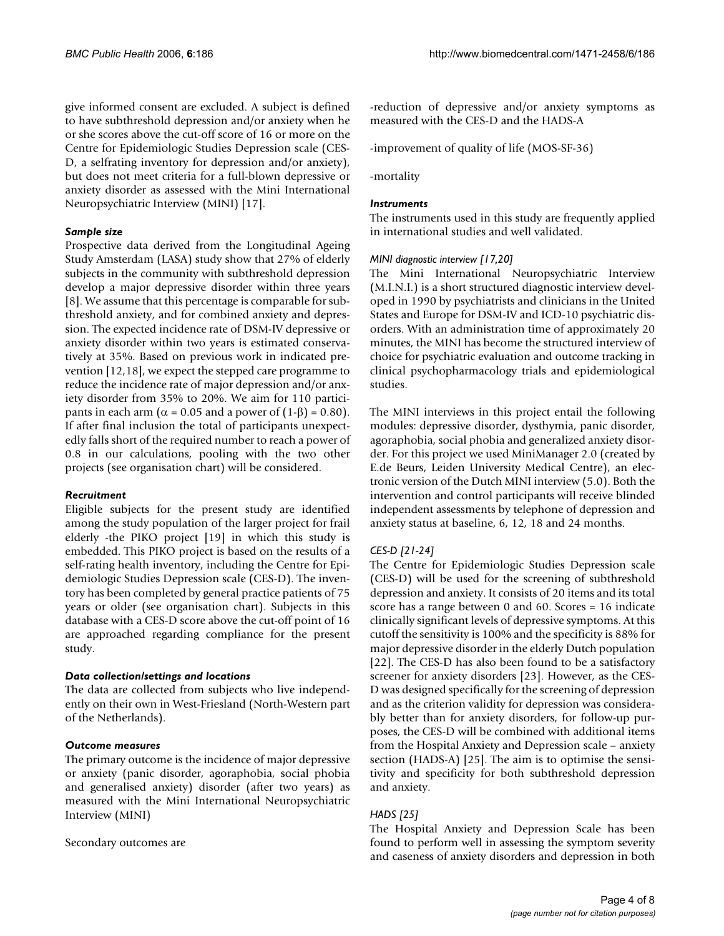give informed consent are excluded. A subject is defined to have subthreshold depression and/or anxiety when he or she scores above the cut-off score of 16 or more on the Centre for Epidemiologic Studies Depression scale (CES-D, a selfrating inventory for depression and/or anxiety), but does not meet criteria for a full-blown depressive or anxiety disorder as assessed with the Mini International Neuropsychiatric Interview (MINI) [17].

# *Sample size*

Prospective data derived from the Longitudinal Ageing Study Amsterdam (LASA) study show that 27% of elderly subjects in the community with subthreshold depression develop a major depressive disorder within three years [8]. We assume that this percentage is comparable for subthreshold anxiety, and for combined anxiety and depression. The expected incidence rate of DSM-IV depressive or anxiety disorder within two years is estimated conservatively at 35%. Based on previous work in indicated prevention [12,18], we expect the stepped care programme to reduce the incidence rate of major depression and/or anxiety disorder from 35% to 20%. We aim for 110 participants in each arm ( $α = 0.05$  and a power of (1-β) = 0.80). If after final inclusion the total of participants unexpectedly falls short of the required number to reach a power of 0.8 in our calculations, pooling with the two other projects (see organisation chart) will be considered.

# *Recruitment*

Eligible subjects for the present study are identified among the study population of the larger project for frail elderly -the PIKO project [19] in which this study is embedded. This PIKO project is based on the results of a self-rating health inventory, including the Centre for Epidemiologic Studies Depression scale (CES-D). The inventory has been completed by general practice patients of 75 years or older (see organisation chart). Subjects in this database with a CES-D score above the cut-off point of 16 are approached regarding compliance for the present study.

# *Data collection/settings and locations*

The data are collected from subjects who live independently on their own in West-Friesland (North-Western part of the Netherlands).

### *Outcome measures*

The primary outcome is the incidence of major depressive or anxiety (panic disorder, agoraphobia, social phobia and generalised anxiety) disorder (after two years) as measured with the Mini International Neuropsychiatric Interview (MINI)

Secondary outcomes are

-reduction of depressive and/or anxiety symptoms as measured with the CES-D and the HADS-A

-improvement of quality of life (MOS-SF-36)

-mortality

# *Instruments*

The instruments used in this study are frequently applied in international studies and well validated.

# *MINI diagnostic interview [17,20]*

The Mini International Neuropsychiatric Interview (M.I.N.I.) is a short structured diagnostic interview developed in 1990 by psychiatrists and clinicians in the United States and Europe for DSM-IV and ICD-10 psychiatric disorders. With an administration time of approximately 20 minutes, the MINI has become the structured interview of choice for psychiatric evaluation and outcome tracking in clinical psychopharmacology trials and epidemiological studies.

The MINI interviews in this project entail the following modules: depressive disorder, dysthymia, panic disorder, agoraphobia, social phobia and generalized anxiety disorder. For this project we used MiniManager 2.0 (created by E.de Beurs, Leiden University Medical Centre), an electronic version of the Dutch MINI interview (5.0). Both the intervention and control participants will receive blinded independent assessments by telephone of depression and anxiety status at baseline, 6, 12, 18 and 24 months.

# *CES-D [21-24]*

The Centre for Epidemiologic Studies Depression scale (CES-D) will be used for the screening of subthreshold depression and anxiety. It consists of 20 items and its total score has a range between 0 and 60. Scores = 16 indicate clinically significant levels of depressive symptoms. At this cutoff the sensitivity is 100% and the specificity is 88% for major depressive disorder in the elderly Dutch population [22]. The CES-D has also been found to be a satisfactory screener for anxiety disorders [23]. However, as the CES-D was designed specifically for the screening of depression and as the criterion validity for depression was considerably better than for anxiety disorders, for follow-up purposes, the CES-D will be combined with additional items from the Hospital Anxiety and Depression scale – anxiety section (HADS-A) [25]. The aim is to optimise the sensitivity and specificity for both subthreshold depression and anxiety.

# *HADS [25]*

The Hospital Anxiety and Depression Scale has been found to perform well in assessing the symptom severity and caseness of anxiety disorders and depression in both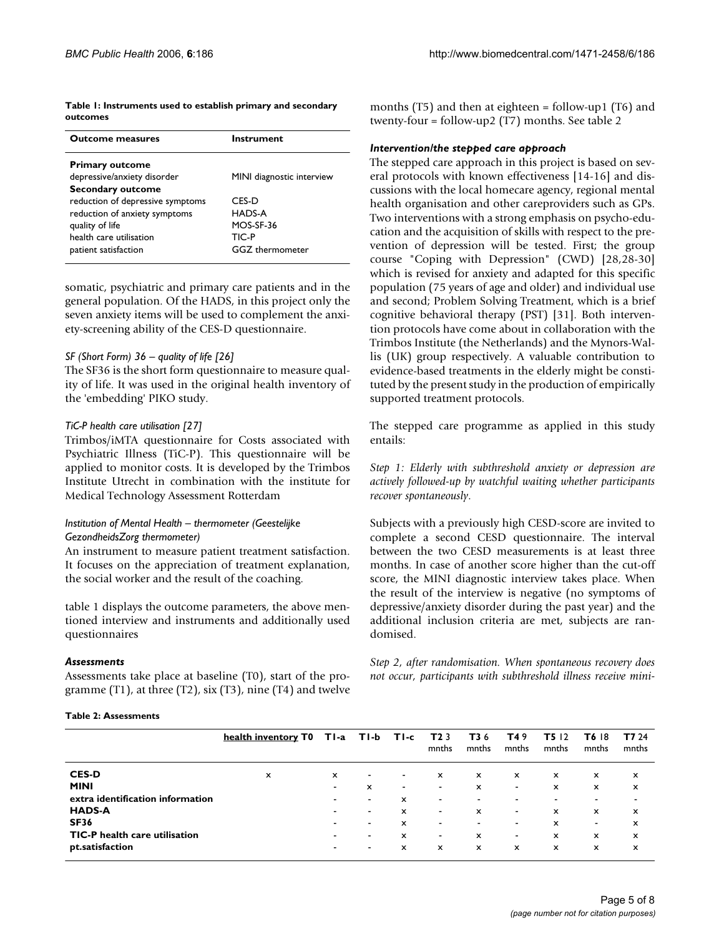**Table 1: Instruments used to establish primary and secondary outcomes**

| <b>Outcome measures</b>          | Instrument                |  |  |  |  |  |
|----------------------------------|---------------------------|--|--|--|--|--|
| <b>Primary outcome</b>           |                           |  |  |  |  |  |
| depressive/anxiety disorder      | MINI diagnostic interview |  |  |  |  |  |
| <b>Secondary outcome</b>         |                           |  |  |  |  |  |
| reduction of depressive symptoms | CFS-D                     |  |  |  |  |  |
| reduction of anxiety symptoms    | HADS-A                    |  |  |  |  |  |
| quality of life                  | MOS-SF-36                 |  |  |  |  |  |
| health care utilisation          | TIC-P                     |  |  |  |  |  |
| patient satisfaction             | <b>GGZ</b> thermometer    |  |  |  |  |  |

somatic, psychiatric and primary care patients and in the general population. Of the HADS, in this project only the seven anxiety items will be used to complement the anxiety-screening ability of the CES-D questionnaire.

#### *SF (Short Form) 36 – quality of life [26]*

The SF36 is the short form questionnaire to measure quality of life. It was used in the original health inventory of the 'embedding' PIKO study.

#### *TiC-P health care utilisation [27]*

Trimbos/iMTA questionnaire for Costs associated with Psychiatric Illness (TiC-P). This questionnaire will be applied to monitor costs. It is developed by the Trimbos Institute Utrecht in combination with the institute for Medical Technology Assessment Rotterdam

### *Institution of Mental Health – thermometer (Geestelijke GezondheidsZorg thermometer)*

An instrument to measure patient treatment satisfaction. It focuses on the appreciation of treatment explanation, the social worker and the result of the coaching.

table 1 displays the outcome parameters, the above mentioned interview and instruments and additionally used questionnaires

#### *Assessments*

Assessments take place at baseline (T0), start of the programme (T1), at three (T2), six (T3), nine (T4) and twelve months (T5) and then at eighteen = follow-up1 (T6) and twenty-four = follow-up2 (T7) months. See table 2

#### *Intervention/the stepped care approach*

The stepped care approach in this project is based on several protocols with known effectiveness [14-16] and discussions with the local homecare agency, regional mental health organisation and other careproviders such as GPs. Two interventions with a strong emphasis on psycho-education and the acquisition of skills with respect to the prevention of depression will be tested. First; the group course "Coping with Depression" (CWD) [28,28-30] which is revised for anxiety and adapted for this specific population (75 years of age and older) and individual use and second; Problem Solving Treatment, which is a brief cognitive behavioral therapy (PST) [31]. Both intervention protocols have come about in collaboration with the Trimbos Institute (the Netherlands) and the Mynors-Wallis (UK) group respectively. A valuable contribution to evidence-based treatments in the elderly might be constituted by the present study in the production of empirically supported treatment protocols.

The stepped care programme as applied in this study entails:

*Step 1: Elderly with subthreshold anxiety or depression are actively followed-up by watchful waiting whether participants recover spontaneously*.

Subjects with a previously high CESD-score are invited to complete a second CESD questionnaire. The interval between the two CESD measurements is at least three months. In case of another score higher than the cut-off score, the MINI diagnostic interview takes place. When the result of the interview is negative (no symptoms of depressive/anxiety disorder during the past year) and the additional inclusion criteria are met, subjects are randomised.

*Step 2, after randomisation. When spontaneous recovery does not occur, participants with subthreshold illness receive mini-*

#### **Table 2: Assessments**

|                                      | health inventory T0 TI-a TI-b TI-c |                |                          |                          | T <sub>2</sub> 3<br>mnths | T36<br>mnths              | T49<br>mnths              | <b>T5</b> 12<br>mnths     | <b>T6 18</b><br>mnths    | T7 24<br>mnths           |
|--------------------------------------|------------------------------------|----------------|--------------------------|--------------------------|---------------------------|---------------------------|---------------------------|---------------------------|--------------------------|--------------------------|
| <b>CES-D</b>                         | $\boldsymbol{\mathsf{x}}$          | x              | $\overline{\phantom{a}}$ | $\overline{\phantom{a}}$ | $\boldsymbol{\mathsf{x}}$ | $\boldsymbol{\mathsf{x}}$ | x                         | $\boldsymbol{\mathsf{x}}$ | x                        | x                        |
| <b>MINI</b>                          |                                    | ٠              | x                        | ٠                        | $\overline{\phantom{a}}$  | x                         | $\blacksquare$            | x                         | x                        | x                        |
| extra identification information     |                                    | ۰              | $\overline{\phantom{a}}$ | x                        | $\overline{\phantom{a}}$  | $\overline{\phantom{a}}$  | $\overline{\phantom{a}}$  | $\overline{\phantom{a}}$  | $\overline{\phantom{a}}$ | $\overline{\phantom{a}}$ |
| <b>HADS-A</b>                        |                                    | $\blacksquare$ | $\overline{\phantom{a}}$ | x                        | $\overline{\phantom{a}}$  | $\boldsymbol{\mathsf{x}}$ | $\blacksquare$            | x                         | x                        | x                        |
| <b>SF36</b>                          |                                    | ۰              | $\overline{\phantom{a}}$ | x                        | $\overline{\phantom{a}}$  | $\overline{\phantom{a}}$  | $\blacksquare$            | x                         | $\overline{\phantom{a}}$ | x                        |
| <b>TIC-P</b> health care utilisation |                                    | ۰              | $\overline{\phantom{a}}$ | $\mathsf{x}$             | ٠                         | x                         | $\blacksquare$            | x                         | x                        | x                        |
| pt.satisfaction                      |                                    | $\blacksquare$ | $\overline{\phantom{a}}$ | x                        | x                         | $\boldsymbol{\mathsf{x}}$ | $\boldsymbol{\mathsf{x}}$ | x                         | x                        | x                        |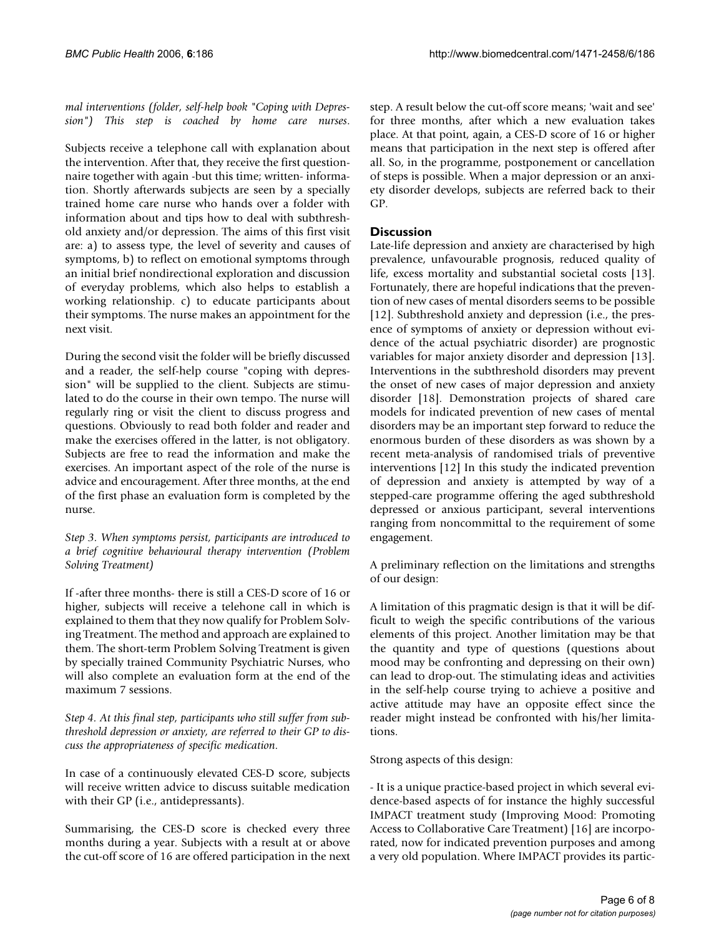*mal interventions (folder, self-help book "Coping with Depression") This step is coached by home care nurses*.

Subjects receive a telephone call with explanation about the intervention. After that, they receive the first questionnaire together with again -but this time; written- information. Shortly afterwards subjects are seen by a specially trained home care nurse who hands over a folder with information about and tips how to deal with subthreshold anxiety and/or depression. The aims of this first visit are: a) to assess type, the level of severity and causes of symptoms, b) to reflect on emotional symptoms through an initial brief nondirectional exploration and discussion of everyday problems, which also helps to establish a working relationship. c) to educate participants about their symptoms. The nurse makes an appointment for the next visit.

During the second visit the folder will be briefly discussed and a reader, the self-help course "coping with depression" will be supplied to the client. Subjects are stimulated to do the course in their own tempo. The nurse will regularly ring or visit the client to discuss progress and questions. Obviously to read both folder and reader and make the exercises offered in the latter, is not obligatory. Subjects are free to read the information and make the exercises. An important aspect of the role of the nurse is advice and encouragement. After three months, at the end of the first phase an evaluation form is completed by the nurse.

# *Step 3. When symptoms persist, participants are introduced to a brief cognitive behavioural therapy intervention (Problem Solving Treatment)*

If -after three months- there is still a CES-D score of 16 or higher, subjects will receive a telehone call in which is explained to them that they now qualify for Problem Solving Treatment. The method and approach are explained to them. The short-term Problem Solving Treatment is given by specially trained Community Psychiatric Nurses, who will also complete an evaluation form at the end of the maximum 7 sessions.

*Step 4. At this final step, participants who still suffer from subthreshold depression or anxiety, are referred to their GP to discuss the appropriateness of specific medication*.

In case of a continuously elevated CES-D score, subjects will receive written advice to discuss suitable medication with their GP (i.e., antidepressants).

Summarising, the CES-D score is checked every three months during a year. Subjects with a result at or above the cut-off score of 16 are offered participation in the next step. A result below the cut-off score means; 'wait and see' for three months, after which a new evaluation takes place. At that point, again, a CES-D score of 16 or higher means that participation in the next step is offered after all. So, in the programme, postponement or cancellation of steps is possible. When a major depression or an anxiety disorder develops, subjects are referred back to their GP.

# **Discussion**

Late-life depression and anxiety are characterised by high prevalence, unfavourable prognosis, reduced quality of life, excess mortality and substantial societal costs [13]. Fortunately, there are hopeful indications that the prevention of new cases of mental disorders seems to be possible [12]. Subthreshold anxiety and depression (i.e., the presence of symptoms of anxiety or depression without evidence of the actual psychiatric disorder) are prognostic variables for major anxiety disorder and depression [13]. Interventions in the subthreshold disorders may prevent the onset of new cases of major depression and anxiety disorder [18]. Demonstration projects of shared care models for indicated prevention of new cases of mental disorders may be an important step forward to reduce the enormous burden of these disorders as was shown by a recent meta-analysis of randomised trials of preventive interventions [12] In this study the indicated prevention of depression and anxiety is attempted by way of a stepped-care programme offering the aged subthreshold depressed or anxious participant, several interventions ranging from noncommittal to the requirement of some engagement.

A preliminary reflection on the limitations and strengths of our design:

A limitation of this pragmatic design is that it will be difficult to weigh the specific contributions of the various elements of this project. Another limitation may be that the quantity and type of questions (questions about mood may be confronting and depressing on their own) can lead to drop-out. The stimulating ideas and activities in the self-help course trying to achieve a positive and active attitude may have an opposite effect since the reader might instead be confronted with his/her limitations.

# Strong aspects of this design:

- It is a unique practice-based project in which several evidence-based aspects of for instance the highly successful IMPACT treatment study (Improving Mood: Promoting Access to Collaborative Care Treatment) [16] are incorporated, now for indicated prevention purposes and among a very old population. Where IMPACT provides its partic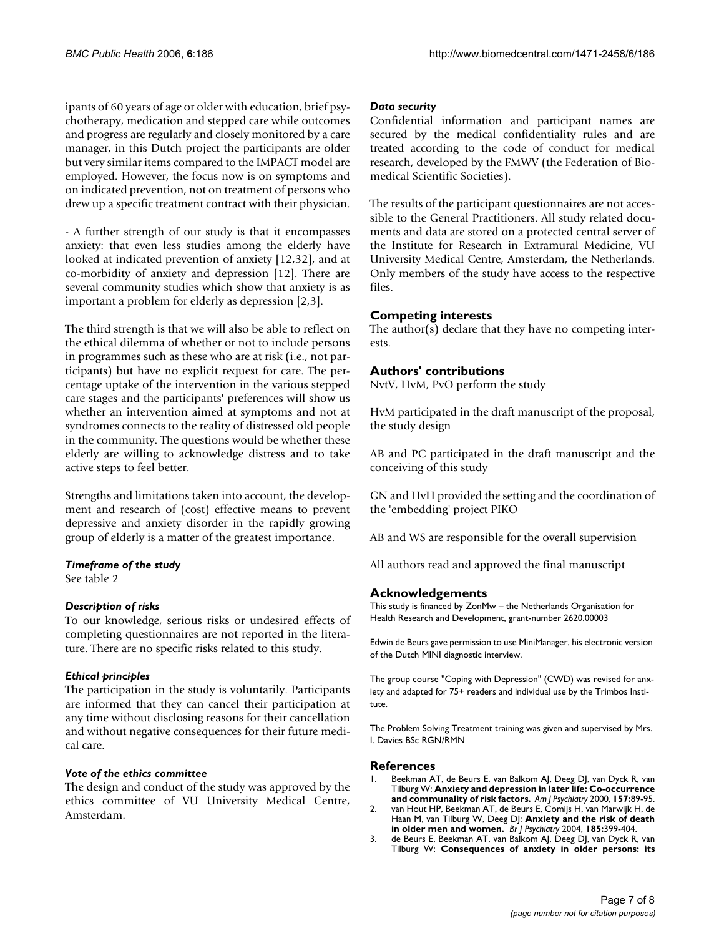ipants of 60 years of age or older with education, brief psychotherapy, medication and stepped care while outcomes and progress are regularly and closely monitored by a care manager, in this Dutch project the participants are older but very similar items compared to the IMPACT model are employed. However, the focus now is on symptoms and on indicated prevention, not on treatment of persons who drew up a specific treatment contract with their physician.

- A further strength of our study is that it encompasses anxiety: that even less studies among the elderly have looked at indicated prevention of anxiety [12,32], and at co-morbidity of anxiety and depression [12]. There are several community studies which show that anxiety is as important a problem for elderly as depression [2,3].

The third strength is that we will also be able to reflect on the ethical dilemma of whether or not to include persons in programmes such as these who are at risk (i.e., not participants) but have no explicit request for care. The percentage uptake of the intervention in the various stepped care stages and the participants' preferences will show us whether an intervention aimed at symptoms and not at syndromes connects to the reality of distressed old people in the community. The questions would be whether these elderly are willing to acknowledge distress and to take active steps to feel better.

Strengths and limitations taken into account, the development and research of (cost) effective means to prevent depressive and anxiety disorder in the rapidly growing group of elderly is a matter of the greatest importance.

### *Timeframe of the study*

See table 2

# *Description of risks*

To our knowledge, serious risks or undesired effects of completing questionnaires are not reported in the literature. There are no specific risks related to this study.

### *Ethical principles*

The participation in the study is voluntarily. Participants are informed that they can cancel their participation at any time without disclosing reasons for their cancellation and without negative consequences for their future medical care.

### *Vote of the ethics committee*

The design and conduct of the study was approved by the ethics committee of VU University Medical Centre, Amsterdam.

### *Data security*

Confidential information and participant names are secured by the medical confidentiality rules and are treated according to the code of conduct for medical research, developed by the FMWV (the Federation of Biomedical Scientific Societies).

The results of the participant questionnaires are not accessible to the General Practitioners. All study related documents and data are stored on a protected central server of the Institute for Research in Extramural Medicine, VU University Medical Centre, Amsterdam, the Netherlands. Only members of the study have access to the respective files.

# **Competing interests**

The author(s) declare that they have no competing interests.

# **Authors' contributions**

NvtV, HvM, PvO perform the study

HvM participated in the draft manuscript of the proposal, the study design

AB and PC participated in the draft manuscript and the conceiving of this study

GN and HvH provided the setting and the coordination of the 'embedding' project PIKO

AB and WS are responsible for the overall supervision

All authors read and approved the final manuscript

# **Acknowledgements**

This study is financed by ZonMw – the Netherlands Organisation for Health Research and Development, grant-number 2620.00003

Edwin de Beurs gave permission to use MiniManager, his electronic version of the Dutch MINI diagnostic interview.

The group course "Coping with Depression" (CWD) was revised for anxiety and adapted for 75+ readers and individual use by the Trimbos Institute.

The Problem Solving Treatment training was given and supervised by Mrs. I. Davies BSc RGN/RMN

### **References**

- 1. Beekman AT, de Beurs E, van Balkom AJ, Deeg DJ, van Dyck R, van Tilburg W: **[Anxiety and depression in later life: Co-occurrence](http://www.ncbi.nlm.nih.gov/entrez/query.fcgi?cmd=Retrieve&db=PubMed&dopt=Abstract&list_uids=10618018) [and communality of risk factors.](http://www.ncbi.nlm.nih.gov/entrez/query.fcgi?cmd=Retrieve&db=PubMed&dopt=Abstract&list_uids=10618018)** *Am J Psychiatry* 2000, **157:**89-95.
- 2. van Hout HP, Beekman AT, de Beurs E, Comijs H, van Marwijk H, de Haan M, van Tilburg W, Deeg DJ: **[Anxiety and the risk of death](http://www.ncbi.nlm.nih.gov/entrez/query.fcgi?cmd=Retrieve&db=PubMed&dopt=Abstract&list_uids=15516548) [in older men and women.](http://www.ncbi.nlm.nih.gov/entrez/query.fcgi?cmd=Retrieve&db=PubMed&dopt=Abstract&list_uids=15516548)** *Br J Psychiatry* 2004, **185:**399-404.
- 3. de Beurs E, Beekman AT, van Balkom AJ, Deeg DJ, van Dyck R, van Tilburg W: **[Consequences of anxiety in older persons: its](http://www.ncbi.nlm.nih.gov/entrez/query.fcgi?cmd=Retrieve&db=PubMed&dopt=Abstract&list_uids=10405079)**